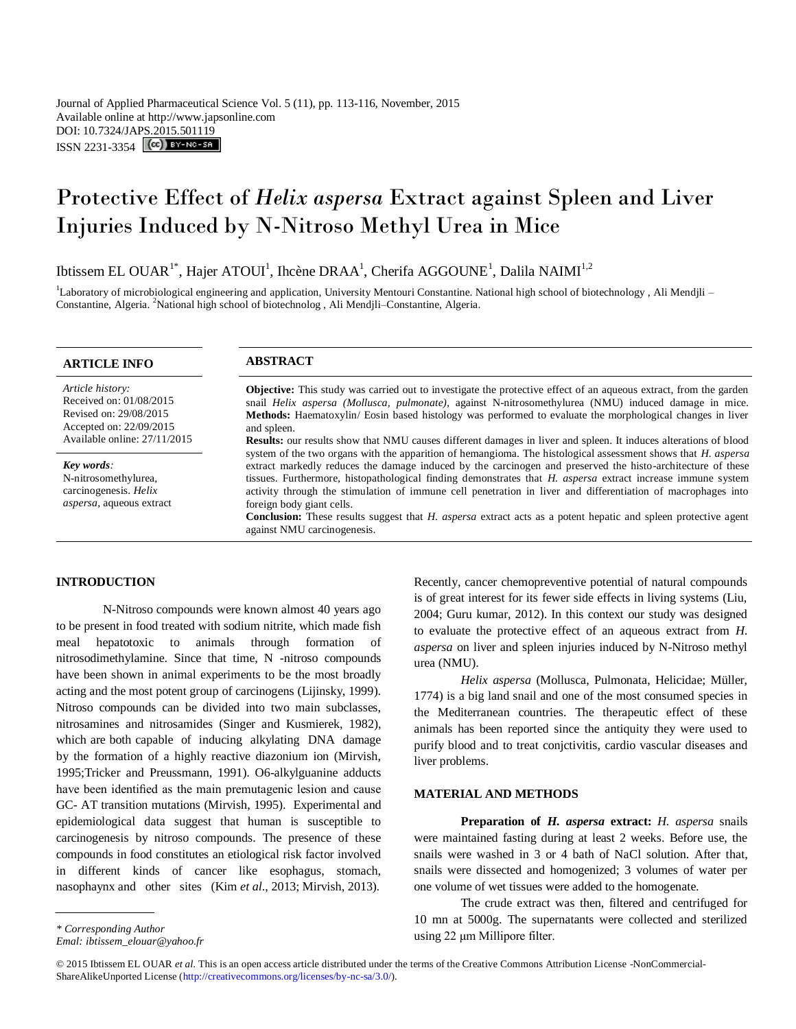Journal of Applied Pharmaceutical Science Vol. 5 (11), pp. 113-116, November, 2015 Available online at http://www.japsonline.com DOI: 10.7324/JAPS.2015.501119  $ISSN 2231-3354$   $\left[\text{cc}\right]$  BY-NG-SA

# Protective Effect of *Helix aspersa* Extract against Spleen and Liver Injuries Induced by N-Nitroso Methyl Urea in Mice

Ibtissem EL OUAR<sup>1\*</sup>, Hajer ATOUI<sup>1</sup>, Ihcène DRAA<sup>1</sup>, Cherifa AGGOUNE<sup>1</sup>, Dalila NAIMI<sup>1,2</sup>

<sup>1</sup>Laboratory of microbiological engineering and application, University Mentouri Constantine. National high school of biotechnology, Ali Mendjli – Constantine, Algeria. <sup>2</sup>National high school of biotechnolog, Ali Mendjli-Constantine, Algeria.

| <b>ARTICLE INFO</b> |  |  |  |  |  |  |  |  |
|---------------------|--|--|--|--|--|--|--|--|
|---------------------|--|--|--|--|--|--|--|--|

*Article history:* Received on: 01/08/2015 Revised on: 29/08/2015 Accepted on: 22/09/2015

*Key words:*  N-nitrosomethylurea, carcinogenesis. *Helix aspersa*, aqueous extract

#### **ABSTRACT**

Available online: 27/11/2015 **Objective:** This study was carried out to investigate the protective effect of an aqueous extract, from the garden snail *Helix aspersa (Mollusca, pulmonate),* against N-nitrosomethylurea (NMU) induced damage in mice. **Methods:** Haematoxylin/ Eosin based histology was performed to evaluate the morphological changes in liver and spleen.

**Results:** our results show that NMU causes different damages in liver and spleen. It induces alterations of blood system of the two organs with the apparition of hemangioma. The histological assessment shows that *H. aspersa* extract markedly reduces the damage induced by the carcinogen and preserved the histo-architecture of these tissues. Furthermore, histopathological finding demonstrates that *H. aspersa* extract increase immune system activity through the stimulation of immune cell penetration in liver and differentiation of macrophages into foreign body giant cells.

**Conclusion:** These results suggest that *H. aspersa* extract acts as a potent hepatic and spleen protective agent against NMU carcinogenesis.

## **INTRODUCTION**

N-Nitroso compounds were known almost 40 years ago to be present in food treated with sodium nitrite, which made fish meal hepatotoxic to animals through formation of nitrosodimethylamine. Since that time, N -nitroso compounds have been shown in animal experiments to be the most broadly acting and the most potent group of carcinogens (Lijinsky, 1999). Nitroso compounds can be divided into two main subclasses, nitrosamines and nitrosamides (Singer and Kusmierek, 1982), which are both capable of inducing alkylating DNA damage by the formation of a highly reactive diazonium ion (Mirvish, 1995;Tricker and Preussmann, 1991). O6-alkylguanine adducts have been identified as the main premutagenic lesion and cause GC- AT transition mutations (Mirvish, 1995). Experimental and epidemiological data suggest that human is susceptible to carcinogenesis by nitroso compounds. The presence of these compounds in food constitutes an etiological risk factor involved in different kinds of cancer like esophagus, stomach, nasophaynx and other sites (Kim *et al*., 2013; Mirvish, 2013).

*Helix aspersa* (Mollusca, Pulmonata, Helicidae; Müller, 1774) is a big land snail and one of the most consumed species in the Mediterranean countries. The therapeutic effect of these animals has been reported since the antiquity they were used to purify blood and to treat conjctivitis, cardio vascular diseases and liver problems.

## **MATERIAL AND METHODS**

**Preparation of** *H. aspersa* **extract:** *H. aspersa* snails were maintained fasting during at least 2 weeks. Before use, the snails were washed in 3 or 4 bath of NaCl solution. After that, snails were dissected and homogenized; 3 volumes of water per one volume of wet tissues were added to the homogenate.

The crude extract was then, filtered and centrifuged for 10 mn at 5000g. The supernatants were collected and sterilized using 22 μm Millipore filter.

Recently, cancer chemopreventive potential of natural compounds is of great interest for its fewer side effects in living systems (Liu, 2004; Guru kumar, 2012). In this context our study was designed to evaluate the protective effect of an aqueous extract from *H. aspersa* on liver and spleen injuries induced by N-Nitroso methyl urea (NMU).

*Emal: ibtissem\_elouar@yahoo.fr*

<sup>© 2015</sup> Ibtissem EL OUAR *et al*. This is an open access article distributed under the terms of the Creative Commons Attribution License -NonCommercial-ShareAlikeUnported License (http://creativecommons.org/licenses/by-nc-sa/3.0/).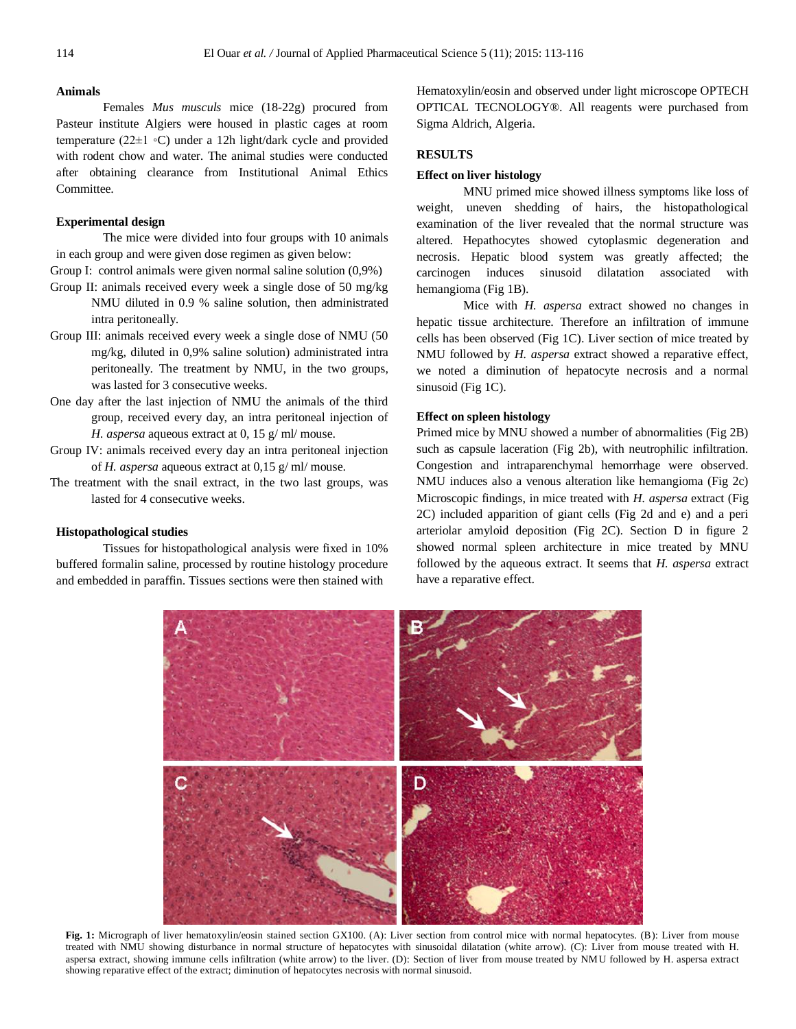#### **Animals**

Females *Mus musculs* mice (18-22g) procured from Pasteur institute Algiers were housed in plastic cages at room temperature (22±1 ◦C) under a 12h light/dark cycle and provided with rodent chow and water. The animal studies were conducted after obtaining clearance from Institutional Animal Ethics Committee.

## **Experimental design**

The mice were divided into four groups with 10 animals in each group and were given dose regimen as given below:

Group I: control animals were given normal saline solution (0,9%)

- Group II: animals received every week a single dose of 50 mg/kg NMU diluted in 0.9 % saline solution, then administrated intra peritoneally.
- Group III: animals received every week a single dose of NMU (50 mg/kg, diluted in 0,9% saline solution) administrated intra peritoneally. The treatment by NMU, in the two groups, was lasted for 3 consecutive weeks.
- One day after the last injection of NMU the animals of the third group, received every day, an intra peritoneal injection of *H. aspersa* aqueous extract at 0, 15 g/ ml/ mouse.
- Group IV: animals received every day an intra peritoneal injection of *H. aspersa* aqueous extract at 0,15 g/ ml/ mouse.
- The treatment with the snail extract, in the two last groups, was lasted for 4 consecutive weeks.

## **Histopathological studies**

Tissues for histopathological analysis were fixed in 10% buffered formalin saline, processed by routine histology procedure and embedded in paraffin. Tissues sections were then stained with

Hematoxylin/eosin and observed under light microscope OPTECH OPTICAL TECNOLOGY®. All reagents were purchased from Sigma Aldrich, Algeria.

## **RESULTS**

#### **Effect on liver histology**

MNU primed mice showed illness symptoms like loss of weight, uneven shedding of hairs, the histopathological examination of the liver revealed that the normal structure was altered. Hepathocytes showed cytoplasmic degeneration and necrosis. Hepatic blood system was greatly affected; the carcinogen induces sinusoid dilatation associated with hemangioma (Fig 1B).

Mice with *H. aspersa* extract showed no changes in hepatic tissue architecture. Therefore an infiltration of immune cells has been observed (Fig 1C). Liver section of mice treated by NMU followed by *H. aspersa* extract showed a reparative effect, we noted a diminution of hepatocyte necrosis and a normal sinusoid (Fig 1C).

## **Effect on spleen histology**

Primed mice by MNU showed a number of abnormalities (Fig 2B) such as capsule laceration (Fig 2b), with neutrophilic infiltration. Congestion and intraparenchymal hemorrhage were observed. NMU induces also a venous alteration like hemangioma (Fig 2c) Microscopic findings, in mice treated with *H. aspersa* extract (Fig 2C) included apparition of giant cells (Fig 2d and e) and a peri arteriolar amyloid deposition (Fig 2C). Section D in figure 2 showed normal spleen architecture in mice treated by MNU followed by the aqueous extract. It seems that *H. aspersa* extract have a reparative effect.



**Fig. 1:** Micrograph of liver hematoxylin/eosin stained section GX100. (A): Liver section from control mice with normal hepatocytes. (B): Liver from mouse treated with NMU showing disturbance in normal structure of hepatocytes with sinusoidal dilatation (white arrow). (C): Liver from mouse treated with H. aspersa extract, showing immune cells infiltration (white arrow) to the liver. (D): Section of liver from mouse treated by NMU followed by H. aspersa extract showing reparative effect of the extract; diminution of hepatocytes necrosis with normal sinusoid.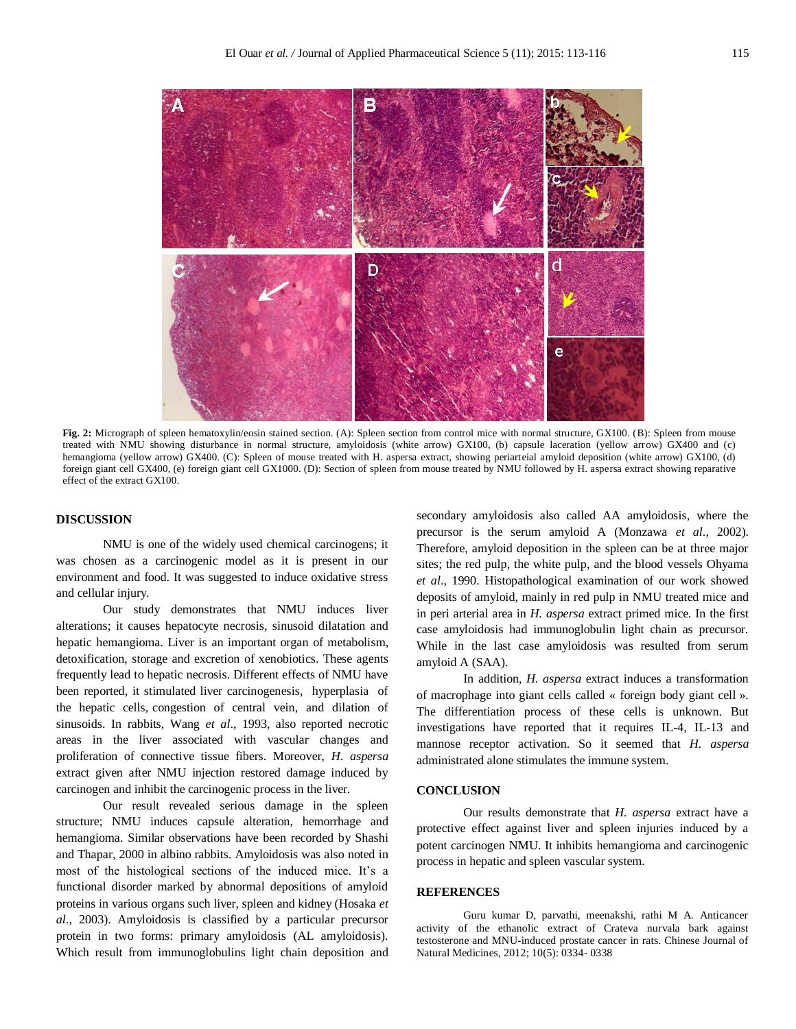

**Fig. 2:** Micrograph of spleen hematoxylin/eosin stained section. (A): Spleen section from control mice with normal structure, GX100. (B): Spleen from mouse treated with NMU showing disturbance in normal structure, amyloidosis (white arrow) GX100, (b) capsule laceration (yellow arrow) GX400 and (c) hemangioma (yellow arrow) GX400. (C): Spleen of mouse treated with H. aspersa extract, showing periarteial amyloid deposition (white arrow) GX100, (d) foreign giant cell GX400, (e) foreign giant cell GX1000. (D): Section of spleen from mouse treated by NMU followed by H. aspersa extract showing reparative effect of the extract GX100.

## **DISCUSSION**

NMU is one of the widely used chemical carcinogens; it was chosen as a carcinogenic model as it is present in our environment and food. It was suggested to induce oxidative stress and cellular injury.

Our study demonstrates that NMU induces liver alterations; it causes hepatocyte necrosis, sinusoid dilatation and hepatic hemangioma. Liver is an important organ of metabolism, detoxification, storage and excretion of xenobiotics. These agents frequently lead to hepatic necrosis. Different effects of NMU have been reported, it stimulated liver carcinogenesis, hyperplasia of the hepatic cells, congestion of central vein, and dilation of sinusoids. In rabbits, Wang *et al*., 1993, also reported necrotic areas in the liver associated with vascular changes and proliferation of connective tissue fibers. Moreover, *H. aspersa* extract given after NMU injection restored damage induced by carcinogen and inhibit the carcinogenic process in the liver.

Our result revealed serious damage in the spleen structure; NMU induces capsule alteration, hemorrhage and hemangioma. Similar observations have been recorded by Shashi and Thapar, 2000 in albino rabbits. Amyloidosis was also noted in most of the histological sections of the induced mice. It's a functional disorder marked by abnormal depositions of amyloid proteins in various organs such liver, spleen and kidney (Hosaka *et al*., 2003). Amyloidosis is classified by a particular precursor protein in two forms: primary amyloidosis (AL amyloidosis). Which result from immunoglobulins light chain deposition and secondary amyloidosis also called AA amyloidosis, where the precursor is the serum amyloid A (Monzawa *et al*., 2002). Therefore, amyloid deposition in the spleen can be at three major sites; the red pulp, the white pulp, and the blood vessels Ohyama *et al*., 1990. Histopathological examination of our work showed deposits of amyloid, mainly in red pulp in NMU treated mice and in peri arterial area in *H. aspersa* extract primed mice. In the first case amyloidosis had immunoglobulin light chain as precursor. While in the last case amyloidosis was resulted from serum amyloid A (SAA).

In addition, *H. aspersa* extract induces a transformation of macrophage into giant cells called « foreign body giant cell ». The differentiation process of these cells is unknown. But investigations have reported that it requires IL-4, IL-13 and mannose receptor activation. So it seemed that *H. aspersa* administrated alone stimulates the immune system.

#### **CONCLUSION**

Our results demonstrate that *H. aspersa* extract have a protective effect against liver and spleen injuries induced by a potent carcinogen NMU. It inhibits hemangioma and carcinogenic process in hepatic and spleen vascular system.

#### **REFERENCES**

Guru kumar D, parvathi, meenakshi, rathi M A. Anticancer activity of the ethanolic extract of Crateva nurvala bark against testosterone and MNU-induced prostate cancer in rats. Chinese Journal of Natural Medicines, 2012; 10(5): 0334- 0338